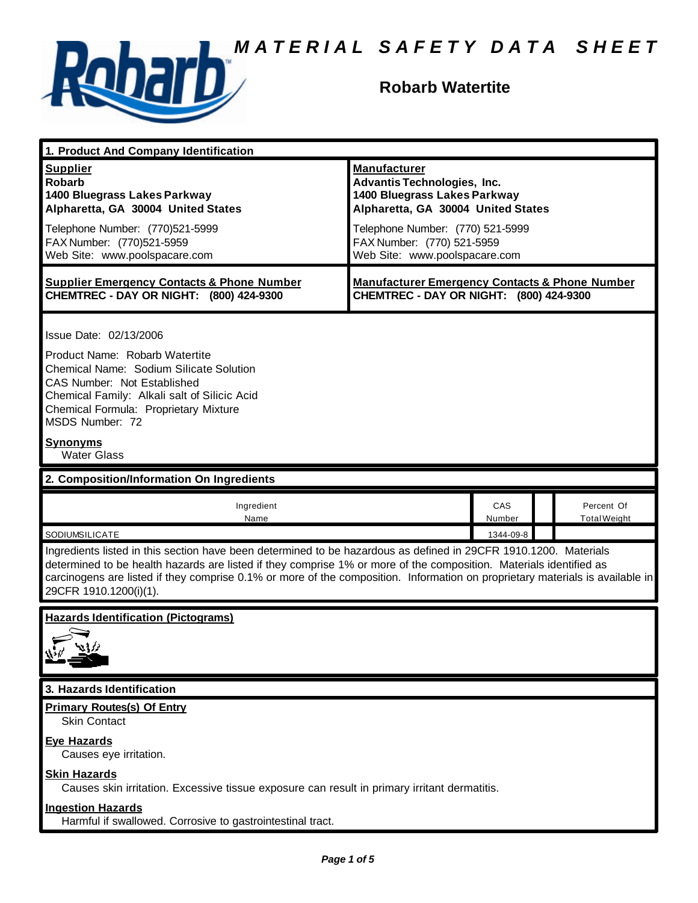

# **Robarb Watertite**

| 1. Product And Company Identification                                                                                                                                                                                                                                                                                                                                                             |                                                                                                                                 |               |  |                                   |  |  |
|---------------------------------------------------------------------------------------------------------------------------------------------------------------------------------------------------------------------------------------------------------------------------------------------------------------------------------------------------------------------------------------------------|---------------------------------------------------------------------------------------------------------------------------------|---------------|--|-----------------------------------|--|--|
| <b>Supplier</b><br><b>Robarb</b><br>1400 Bluegrass Lakes Parkway<br>Alpharetta, GA 30004 United States                                                                                                                                                                                                                                                                                            | <b>Manufacturer</b><br><b>Advantis Technologies, Inc.</b><br>1400 Bluegrass Lakes Parkway<br>Alpharetta, GA 30004 United States |               |  |                                   |  |  |
| Telephone Number: (770)521-5999<br>FAX Number: (770)521-5959<br>Web Site: www.poolspacare.com                                                                                                                                                                                                                                                                                                     | Telephone Number: (770) 521-5999<br>FAX Number: (770) 521-5959<br>Web Site: www.poolspacare.com                                 |               |  |                                   |  |  |
| <b>Supplier Emergency Contacts &amp; Phone Number</b><br>CHEMTREC - DAY OR NIGHT: (800) 424-9300                                                                                                                                                                                                                                                                                                  | <b>Manufacturer Emergency Contacts &amp; Phone Number</b><br>CHEMTREC - DAY OR NIGHT: (800) 424-9300                            |               |  |                                   |  |  |
| Issue Date: 02/13/2006<br>Product Name: Robarb Watertite<br>Chemical Name: Sodium Silicate Solution<br>CAS Number: Not Established                                                                                                                                                                                                                                                                |                                                                                                                                 |               |  |                                   |  |  |
| Chemical Family: Alkali salt of Silicic Acid<br>Chemical Formula: Proprietary Mixture<br>MSDS Number: 72                                                                                                                                                                                                                                                                                          |                                                                                                                                 |               |  |                                   |  |  |
| <b>Synonyms</b><br><b>Water Glass</b>                                                                                                                                                                                                                                                                                                                                                             |                                                                                                                                 |               |  |                                   |  |  |
| 2. Composition/Information On Ingredients                                                                                                                                                                                                                                                                                                                                                         |                                                                                                                                 |               |  |                                   |  |  |
| Ingredient<br>Name                                                                                                                                                                                                                                                                                                                                                                                |                                                                                                                                 | CAS<br>Number |  | Percent Of<br><b>Total Weight</b> |  |  |
| SODIUMSILICATE                                                                                                                                                                                                                                                                                                                                                                                    |                                                                                                                                 | 1344-09-8     |  |                                   |  |  |
| Ingredients listed in this section have been determined to be hazardous as defined in 29CFR 1910.1200. Materials<br>determined to be health hazards are listed if they comprise 1% or more of the composition. Materials identified as<br>carcinogens are listed if they comprise 0.1% or more of the composition. Information on proprietary materials is available in<br>29CFR 1910.1200(i)(1). |                                                                                                                                 |               |  |                                   |  |  |
| <b>Hazards Identification (Pictograms)</b><br>810                                                                                                                                                                                                                                                                                                                                                 |                                                                                                                                 |               |  |                                   |  |  |
| 3. Hazards Identification                                                                                                                                                                                                                                                                                                                                                                         |                                                                                                                                 |               |  |                                   |  |  |
| <b>Primary Routes(s) Of Entry</b><br><b>Skin Contact</b>                                                                                                                                                                                                                                                                                                                                          |                                                                                                                                 |               |  |                                   |  |  |
| <b>Eye Hazards</b><br>Causes eye irritation.                                                                                                                                                                                                                                                                                                                                                      |                                                                                                                                 |               |  |                                   |  |  |
| <b>Skin Hazards</b><br>Causes skin irritation. Excessive tissue exposure can result in primary irritant dermatitis.                                                                                                                                                                                                                                                                               |                                                                                                                                 |               |  |                                   |  |  |
| <b>Ingestion Hazards</b><br>Harmful if swallowed. Corrosive to gastrointestinal tract.                                                                                                                                                                                                                                                                                                            |                                                                                                                                 |               |  |                                   |  |  |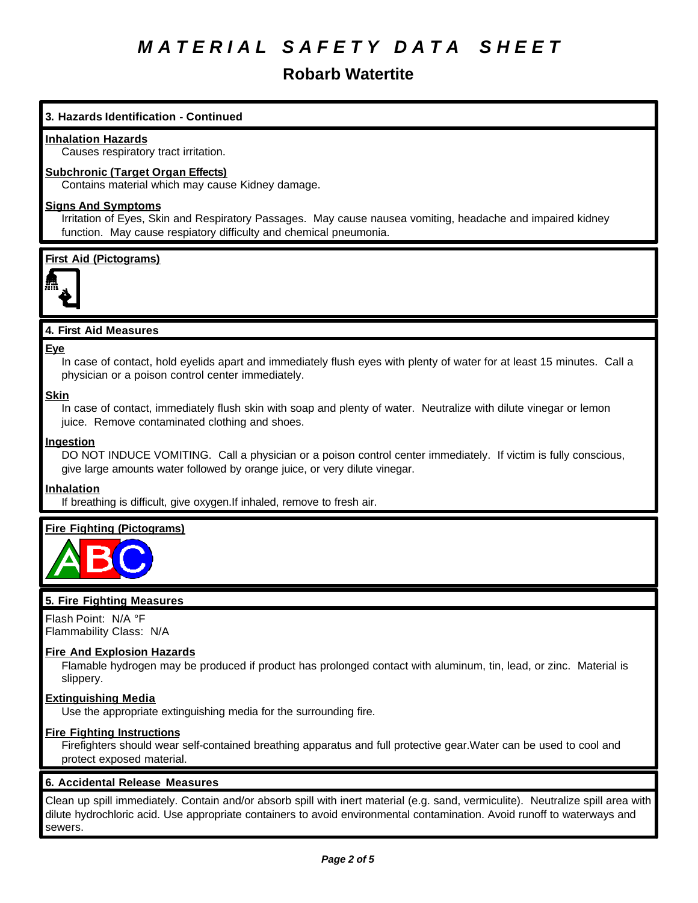## **Robarb Watertite**

## **3. Hazards Identification - Continued**

## **Inhalation Hazards**

Causes respiratory tract irritation.

## **Subchronic (Target Organ Effects)**

Contains material which may cause Kidney damage.

## **Signs And Symptoms**

Irritation of Eyes, Skin and Respiratory Passages. May cause nausea vomiting, headache and impaired kidney function. May cause respiatory difficulty and chemical pneumonia.

## **First Aid (Pictograms)**



## **4. First Aid Measures**

#### **Eye**

In case of contact, hold eyelids apart and immediately flush eyes with plenty of water for at least 15 minutes. Call a physician or a poison control center immediately.

## **Skin**

In case of contact, immediately flush skin with soap and plenty of water. Neutralize with dilute vinegar or lemon juice. Remove contaminated clothing and shoes.

## **Ingestion**

DO NOT INDUCE VOMITING. Call a physician or a poison control center immediately. If victim is fully conscious, give large amounts water followed by orange juice, or very dilute vinegar.

## **Inhalation**

If breathing is difficult, give oxygen.If inhaled, remove to fresh air.

## **Fire Fighting (Pictograms)**



## **5. Fire Fighting Measures**

Flash Point: N/A °F Flammability Class: N/A

#### **Fire And Explosion Hazards**

Flamable hydrogen may be produced if product has prolonged contact with aluminum, tin, lead, or zinc. Material is slippery.

#### **Extinguishing Media**

Use the appropriate extinguishing media for the surrounding fire.

## **Fire Fighting Instructions**

Firefighters should wear self-contained breathing apparatus and full protective gear.Water can be used to cool and protect exposed material.

#### **6. Accidental Release Measures**

Clean up spill immediately. Contain and/or absorb spill with inert material (e.g. sand, vermiculite). Neutralize spill area with dilute hydrochloric acid. Use appropriate containers to avoid environmental contamination. Avoid runoff to waterways and sewers.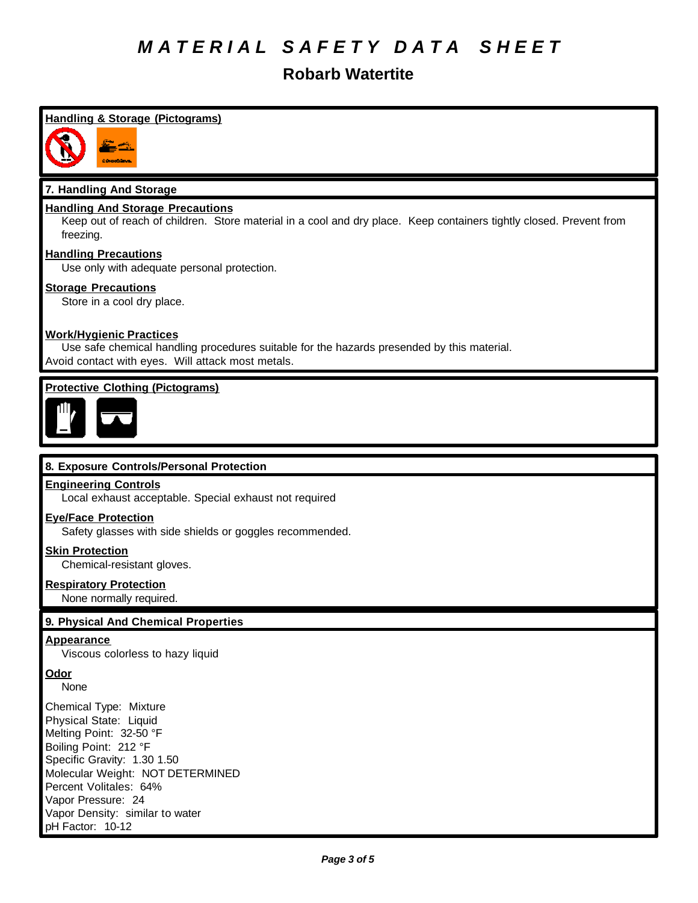## **Robarb Watertite**

## **Handling & Storage (Pictograms)**



## **7. Handling And Storage**

## **Handling And Storage Precautions**

Keep out of reach of children. Store material in a cool and dry place. Keep containers tightly closed. Prevent from freezing.

## **Handling Precautions**

Use only with adequate personal protection.

## **Storage Precautions**

Store in a cool dry place.

## **Work/Hygienic Practices**

Use safe chemical handling procedures suitable for the hazards presended by this material. Avoid contact with eyes. Will attack most metals.

## **Protective Clothing (Pictograms)**



## **8. Exposure Controls/Personal Protection**

#### **Engineering Controls**

Local exhaust acceptable. Special exhaust not required

#### **Eye/Face Protection**

Safety glasses with side shields or goggles recommended.

## **Skin Protection**

Chemical-resistant gloves.

#### **Respiratory Protection**

None normally required.

## **9. Physical And Chemical Properties**

#### **Appearance**

Viscous colorless to hazy liquid

## **Odor**

None

Chemical Type: Mixture Physical State: Liquid Melting Point: 32-50 °F Boiling Point: 212 °F Specific Gravity: 1.30 1.50 Molecular Weight: NOT DETERMINED Percent Volitales: 64% Vapor Pressure: 24 Vapor Density: similar to water pH Factor: 10-12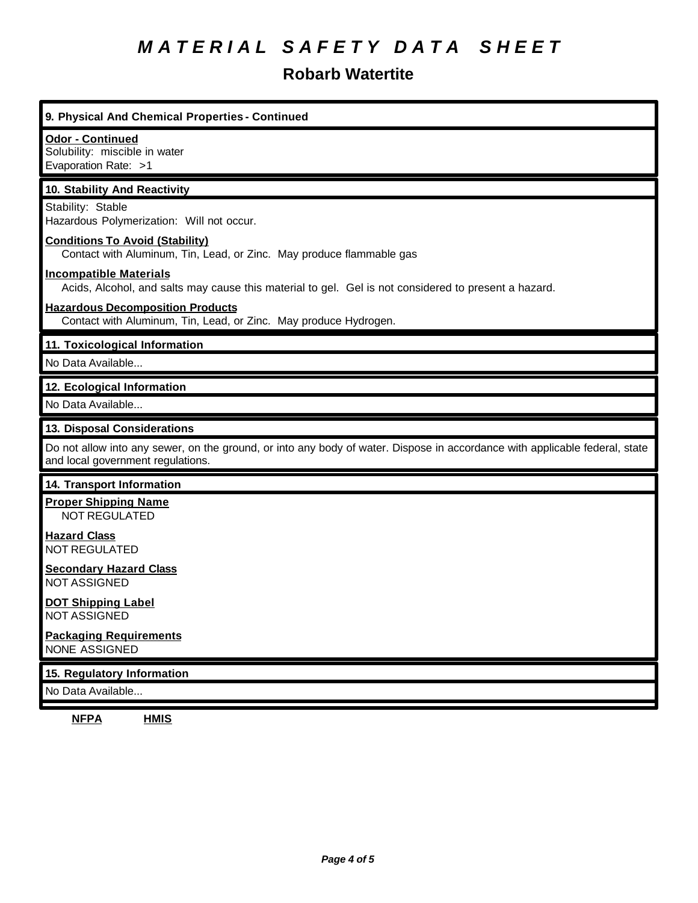# **Robarb Watertite**

| Odor - Continued<br>Solubility: miscible in water<br>Evaporation Rate: >1<br>10. Stability And Reactivity<br>Stability: Stable<br>Hazardous Polymerization: Will not occur.<br><b>Conditions To Avoid (Stability)</b><br>Contact with Aluminum, Tin, Lead, or Zinc. May produce flammable gas<br><b>Incompatible Materials</b><br>Acids, Alcohol, and salts may cause this material to gel. Gel is not considered to present a hazard.<br><b>Hazardous Decomposition Products</b><br>Contact with Aluminum, Tin, Lead, or Zinc. May produce Hydrogen.<br>12. Ecological Information<br>13. Disposal Considerations<br>Do not allow into any sewer, on the ground, or into any body of water. Dispose in accordance with applicable federal, state<br>and local government regulations.<br>14. Transport Information<br><b>Proper Shipping Name</b><br><b>NOT REGULATED</b><br><b>Hazard Class</b><br><b>NOT REGULATED</b><br><b>Secondary Hazard Class</b><br><b>NOT ASSIGNED</b><br><b>DOT Shipping Label</b><br>NOT ASSIGNED<br><b>Packaging Requirements</b><br><b>NONE ASSIGNED</b><br>No Data Available | 9. Physical And Chemical Properties - Continued |  |  |
|--------------------------------------------------------------------------------------------------------------------------------------------------------------------------------------------------------------------------------------------------------------------------------------------------------------------------------------------------------------------------------------------------------------------------------------------------------------------------------------------------------------------------------------------------------------------------------------------------------------------------------------------------------------------------------------------------------------------------------------------------------------------------------------------------------------------------------------------------------------------------------------------------------------------------------------------------------------------------------------------------------------------------------------------------------------------------------------------------------------|-------------------------------------------------|--|--|
|                                                                                                                                                                                                                                                                                                                                                                                                                                                                                                                                                                                                                                                                                                                                                                                                                                                                                                                                                                                                                                                                                                              |                                                 |  |  |
|                                                                                                                                                                                                                                                                                                                                                                                                                                                                                                                                                                                                                                                                                                                                                                                                                                                                                                                                                                                                                                                                                                              |                                                 |  |  |
|                                                                                                                                                                                                                                                                                                                                                                                                                                                                                                                                                                                                                                                                                                                                                                                                                                                                                                                                                                                                                                                                                                              |                                                 |  |  |
|                                                                                                                                                                                                                                                                                                                                                                                                                                                                                                                                                                                                                                                                                                                                                                                                                                                                                                                                                                                                                                                                                                              |                                                 |  |  |
|                                                                                                                                                                                                                                                                                                                                                                                                                                                                                                                                                                                                                                                                                                                                                                                                                                                                                                                                                                                                                                                                                                              |                                                 |  |  |
|                                                                                                                                                                                                                                                                                                                                                                                                                                                                                                                                                                                                                                                                                                                                                                                                                                                                                                                                                                                                                                                                                                              |                                                 |  |  |
|                                                                                                                                                                                                                                                                                                                                                                                                                                                                                                                                                                                                                                                                                                                                                                                                                                                                                                                                                                                                                                                                                                              | 11. Toxicological Information                   |  |  |
|                                                                                                                                                                                                                                                                                                                                                                                                                                                                                                                                                                                                                                                                                                                                                                                                                                                                                                                                                                                                                                                                                                              | No Data Available                               |  |  |
|                                                                                                                                                                                                                                                                                                                                                                                                                                                                                                                                                                                                                                                                                                                                                                                                                                                                                                                                                                                                                                                                                                              |                                                 |  |  |
|                                                                                                                                                                                                                                                                                                                                                                                                                                                                                                                                                                                                                                                                                                                                                                                                                                                                                                                                                                                                                                                                                                              | No Data Available                               |  |  |
|                                                                                                                                                                                                                                                                                                                                                                                                                                                                                                                                                                                                                                                                                                                                                                                                                                                                                                                                                                                                                                                                                                              |                                                 |  |  |
|                                                                                                                                                                                                                                                                                                                                                                                                                                                                                                                                                                                                                                                                                                                                                                                                                                                                                                                                                                                                                                                                                                              |                                                 |  |  |
|                                                                                                                                                                                                                                                                                                                                                                                                                                                                                                                                                                                                                                                                                                                                                                                                                                                                                                                                                                                                                                                                                                              |                                                 |  |  |
|                                                                                                                                                                                                                                                                                                                                                                                                                                                                                                                                                                                                                                                                                                                                                                                                                                                                                                                                                                                                                                                                                                              |                                                 |  |  |
|                                                                                                                                                                                                                                                                                                                                                                                                                                                                                                                                                                                                                                                                                                                                                                                                                                                                                                                                                                                                                                                                                                              |                                                 |  |  |
|                                                                                                                                                                                                                                                                                                                                                                                                                                                                                                                                                                                                                                                                                                                                                                                                                                                                                                                                                                                                                                                                                                              |                                                 |  |  |
|                                                                                                                                                                                                                                                                                                                                                                                                                                                                                                                                                                                                                                                                                                                                                                                                                                                                                                                                                                                                                                                                                                              |                                                 |  |  |
|                                                                                                                                                                                                                                                                                                                                                                                                                                                                                                                                                                                                                                                                                                                                                                                                                                                                                                                                                                                                                                                                                                              |                                                 |  |  |
|                                                                                                                                                                                                                                                                                                                                                                                                                                                                                                                                                                                                                                                                                                                                                                                                                                                                                                                                                                                                                                                                                                              | 15. Regulatory Information                      |  |  |
|                                                                                                                                                                                                                                                                                                                                                                                                                                                                                                                                                                                                                                                                                                                                                                                                                                                                                                                                                                                                                                                                                                              |                                                 |  |  |

**NFPA HMIS**